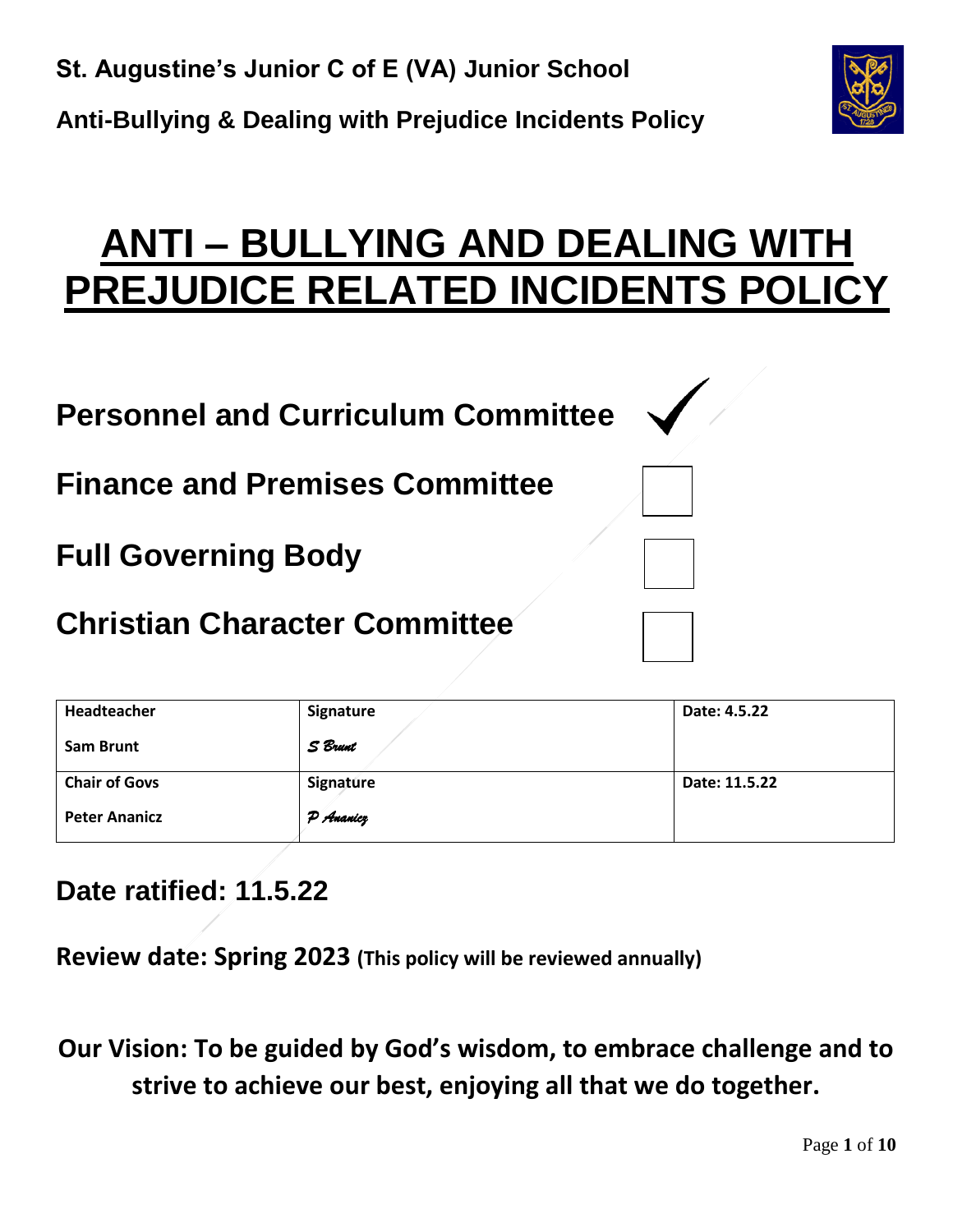

# **ANTI – BULLYING AND DEALING WITH PREJUDICE RELATED INCIDENTS POLICY**

| <b>Personnel and Curriculum Committee</b> |  |
|-------------------------------------------|--|
| <b>Finance and Premises Committee</b>     |  |
| <b>Full Governing Body</b>                |  |
| <b>Christian Character Committee</b>      |  |

| Headteacher          | Signature | Date: 4.5.22  |
|----------------------|-----------|---------------|
| <b>Sam Brunt</b>     | S Brunt   |               |
| <b>Chair of Govs</b> | Signature | Date: 11.5.22 |
| <b>Peter Ananicz</b> | P Ananicz |               |

**Date ratified: 11.5.22**

**Review date: Spring 2023 (This policy will be reviewed annually)**

**Our Vision: To be guided by God's wisdom, to embrace challenge and to strive to achieve our best, enjoying all that we do together.**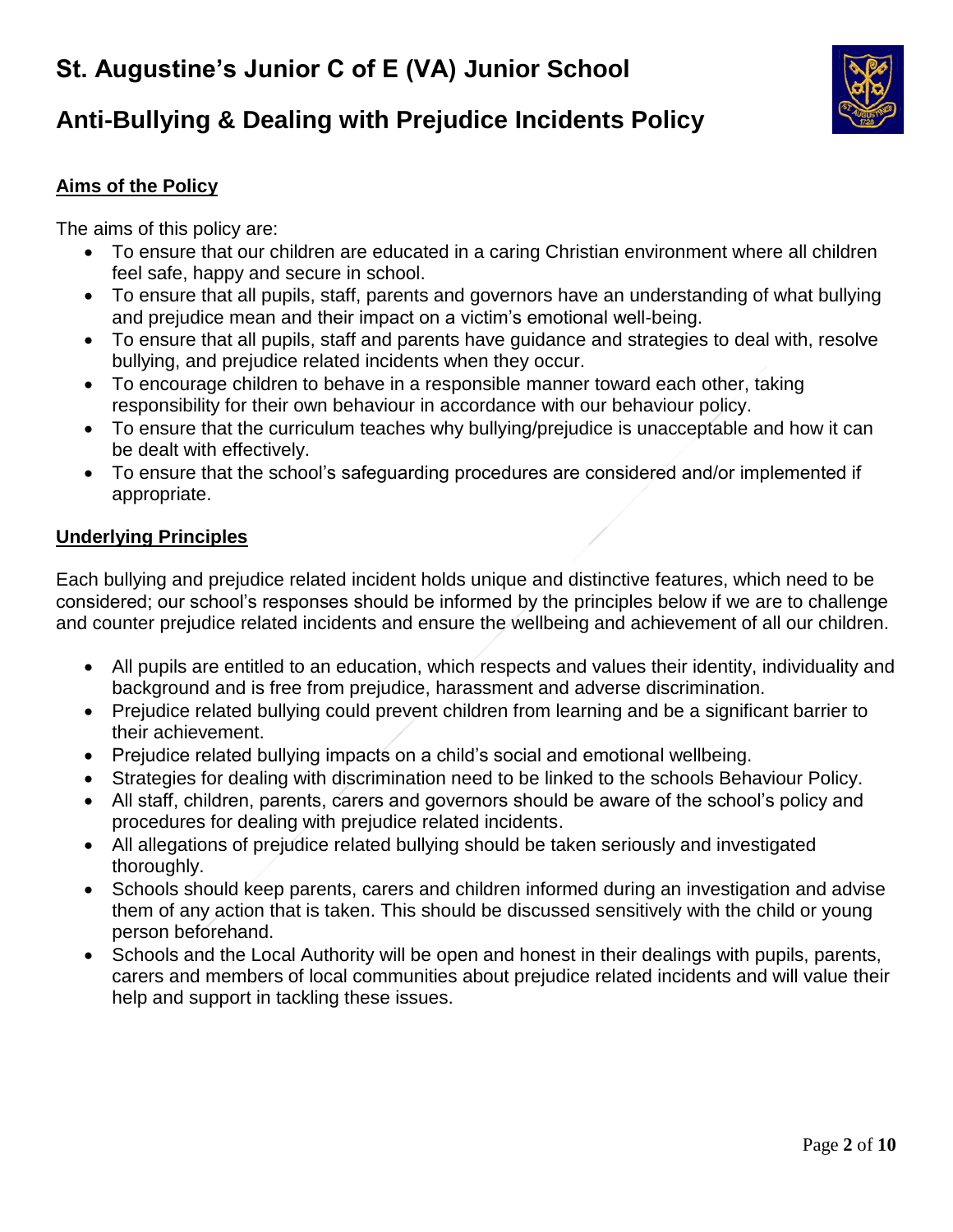

# **Anti-Bullying & Dealing with Prejudice Incidents Policy**

# **Aims of the Policy**

The aims of this policy are:

- To ensure that our children are educated in a caring Christian environment where all children feel safe, happy and secure in school.
- To ensure that all pupils, staff, parents and governors have an understanding of what bullying and prejudice mean and their impact on a victim's emotional well-being.
- To ensure that all pupils, staff and parents have guidance and strategies to deal with, resolve bullying, and prejudice related incidents when they occur.
- To encourage children to behave in a responsible manner toward each other, taking responsibility for their own behaviour in accordance with our behaviour policy.
- To ensure that the curriculum teaches why bullying/prejudice is unacceptable and how it can be dealt with effectively.
- To ensure that the school's safeguarding procedures are considered and/or implemented if appropriate.

### **Underlying Principles**

Each bullying and prejudice related incident holds unique and distinctive features, which need to be considered; our school's responses should be informed by the principles below if we are to challenge and counter prejudice related incidents and ensure the wellbeing and achievement of all our children.

- All pupils are entitled to an education, which respects and values their identity, individuality and background and is free from prejudice, harassment and adverse discrimination.
- Prejudice related bullying could prevent children from learning and be a significant barrier to their achievement.
- Prejudice related bullying impacts on a child's social and emotional wellbeing.
- Strategies for dealing with discrimination need to be linked to the schools Behaviour Policy.
- All staff, children, parents, carers and governors should be aware of the school's policy and procedures for dealing with prejudice related incidents.
- All allegations of prejudice related bullying should be taken seriously and investigated thoroughly.
- Schools should keep parents, carers and children informed during an investigation and advise them of any action that is taken. This should be discussed sensitively with the child or young person beforehand.
- Schools and the Local Authority will be open and honest in their dealings with pupils, parents, carers and members of local communities about prejudice related incidents and will value their help and support in tackling these issues.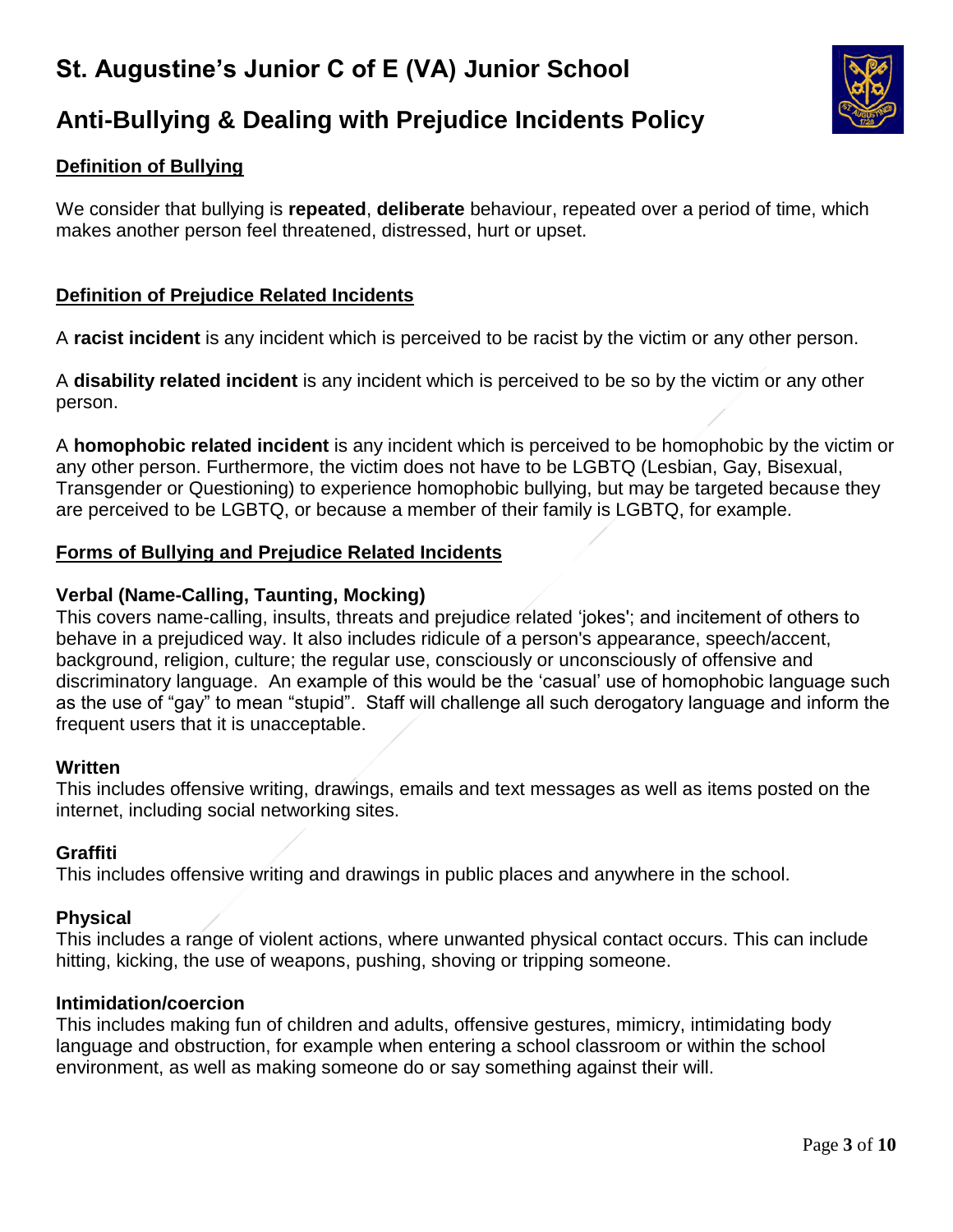

# **Anti-Bullying & Dealing with Prejudice Incidents Policy**

# **Definition of Bullying**

We consider that bullying is **repeated**, **deliberate** behaviour, repeated over a period of time, which makes another person feel threatened, distressed, hurt or upset.

### **Definition of Prejudice Related Incidents**

A **racist incident** is any incident which is perceived to be racist by the victim or any other person.

A **disability related incident** is any incident which is perceived to be so by the victim or any other person.

A **homophobic related incident** is any incident which is perceived to be homophobic by the victim or any other person. Furthermore, the victim does not have to be LGBTQ (Lesbian, Gay, Bisexual, Transgender or Questioning) to experience homophobic bullying, but may be targeted because they are perceived to be LGBTQ, or because a member of their family is LGBTQ, for example.

### **Forms of Bullying and Prejudice Related Incidents**

### **Verbal (Name-Calling, Taunting, Mocking)**

This covers name-calling, insults, threats and prejudice related 'jokes'; and incitement of others to behave in a prejudiced way. It also includes ridicule of a person's appearance, speech/accent, background, religion, culture; the regular use, consciously or unconsciously of offensive and discriminatory language. An example of this would be the 'casual' use of homophobic language such as the use of "gay" to mean "stupid". Staff will challenge all such derogatory language and inform the frequent users that it is unacceptable.

### **Written**

This includes offensive writing, drawings, emails and text messages as well as items posted on the internet, including social networking sites.

### **Graffiti**

This includes offensive writing and drawings in public places and anywhere in the school.

### **Physical**

This includes a range of violent actions, where unwanted physical contact occurs. This can include hitting, kicking, the use of weapons, pushing, shoving or tripping someone.

#### **Intimidation/coercion**

This includes making fun of children and adults, offensive gestures, mimicry, intimidating body language and obstruction, for example when entering a school classroom or within the school environment, as well as making someone do or say something against their will.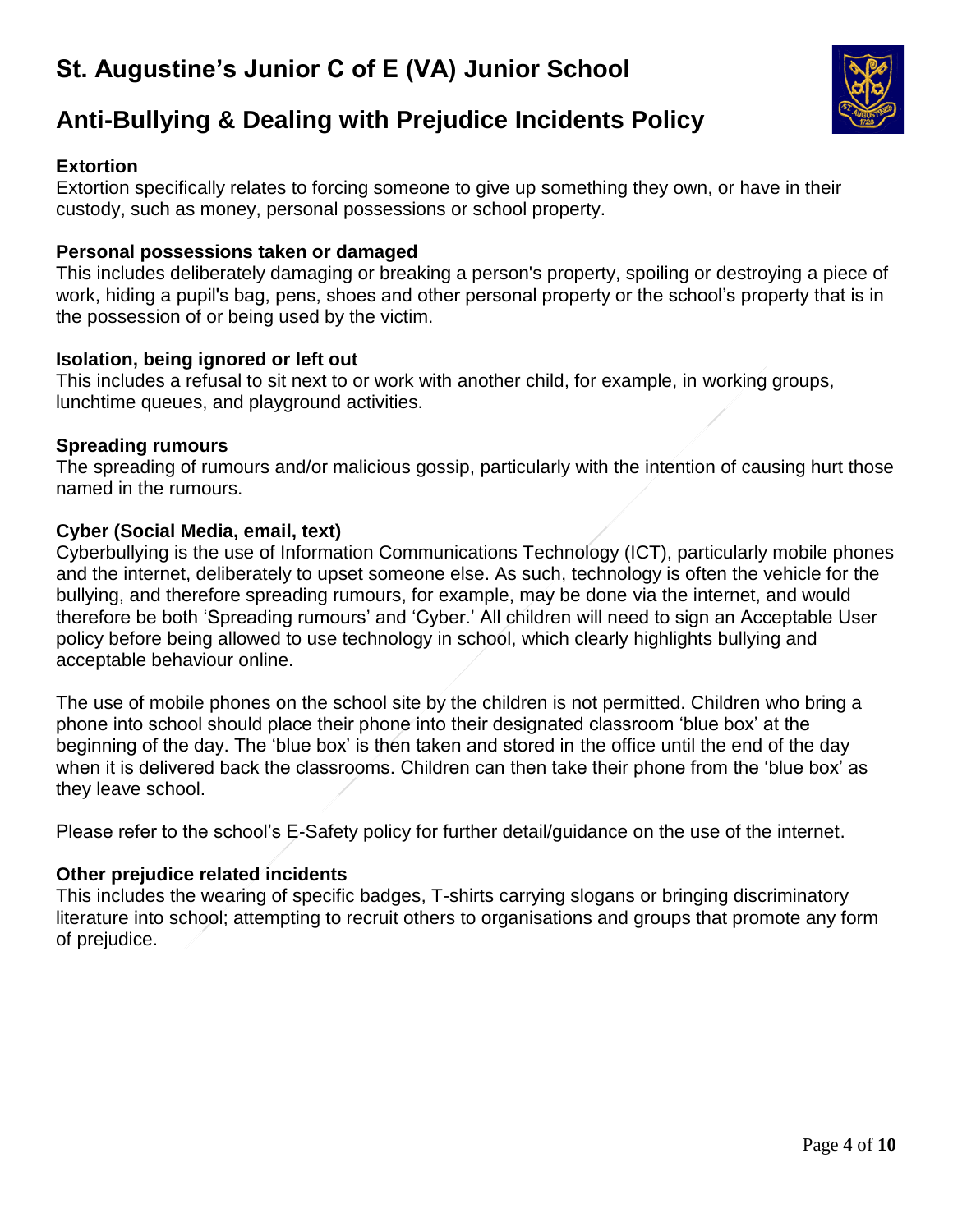

# **Anti-Bullying & Dealing with Prejudice Incidents Policy**

### **Extortion**

Extortion specifically relates to forcing someone to give up something they own, or have in their custody, such as money, personal possessions or school property.

#### **Personal possessions taken or damaged**

This includes deliberately damaging or breaking a person's property, spoiling or destroying a piece of work, hiding a pupil's bag, pens, shoes and other personal property or the school's property that is in the possession of or being used by the victim.

#### **Isolation, being ignored or left out**

This includes a refusal to sit next to or work with another child, for example, in working groups, lunchtime queues, and playground activities.

#### **Spreading rumours**

The spreading of rumours and/or malicious gossip, particularly with the intention of causing hurt those named in the rumours.

#### **Cyber (Social Media, email, text)**

Cyberbullying is the use of Information Communications Technology (ICT), particularly mobile phones and the internet, deliberately to upset someone else. As such, technology is often the vehicle for the bullying, and therefore spreading rumours, for example, may be done via the internet, and would therefore be both 'Spreading rumours' and 'Cyber.' All children will need to sign an Acceptable User policy before being allowed to use technology in school, which clearly highlights bullying and acceptable behaviour online.

The use of mobile phones on the school site by the children is not permitted. Children who bring a phone into school should place their phone into their designated classroom 'blue box' at the beginning of the day. The 'blue box' is then taken and stored in the office until the end of the day when it is delivered back the classrooms. Children can then take their phone from the 'blue box' as they leave school.

Please refer to the school's E-Safety policy for further detail/guidance on the use of the internet.

#### **Other prejudice related incidents**

This includes the wearing of specific badges, T-shirts carrying slogans or bringing discriminatory literature into school; attempting to recruit others to organisations and groups that promote any form of prejudice.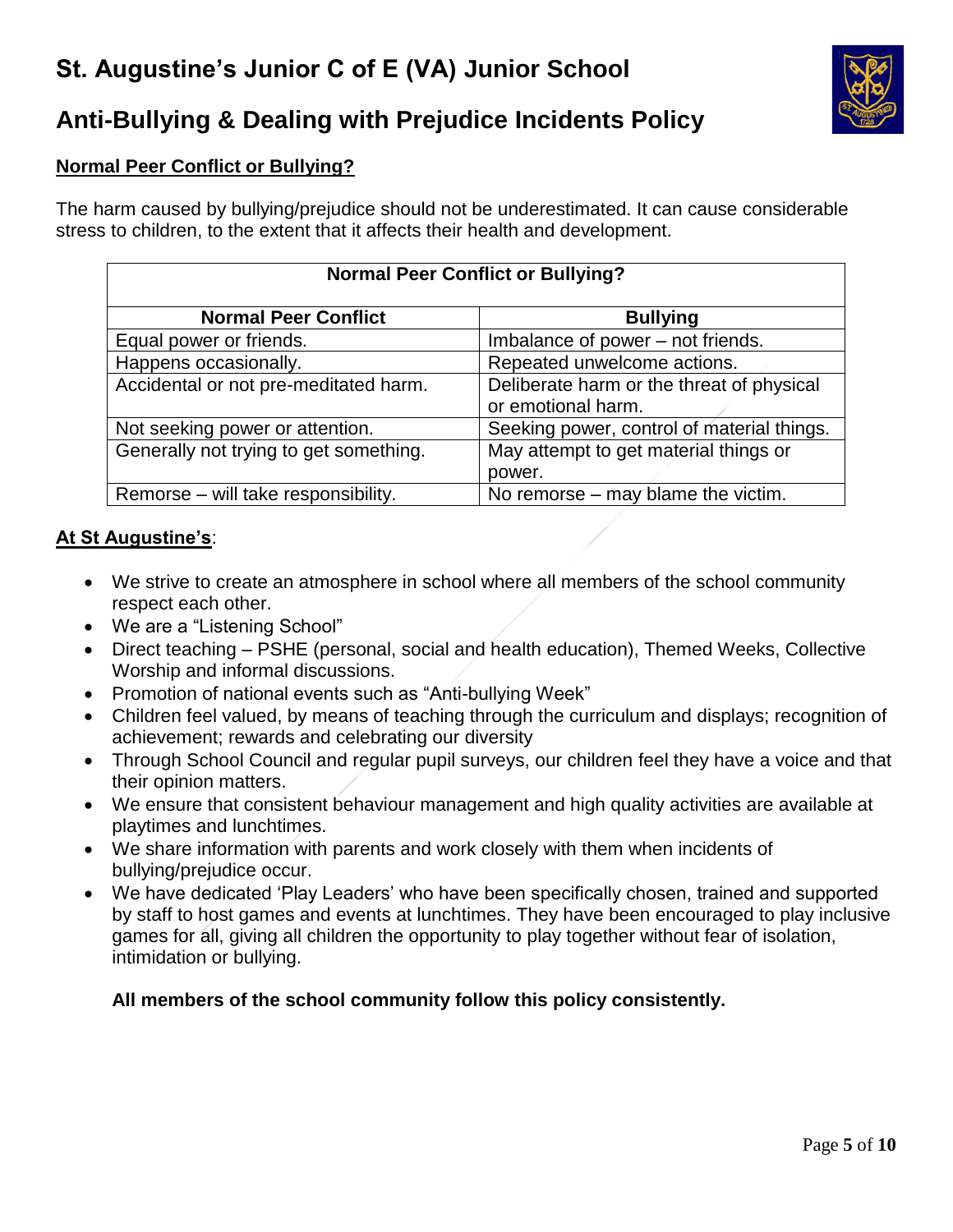

# **Anti-Bullying & Dealing with Prejudice Incidents Policy**

# **Normal Peer Conflict or Bullying?**

The harm caused by bullying/prejudice should not be underestimated. It can cause considerable stress to children, to the extent that it affects their health and development.

| <b>Normal Peer Conflict or Bullying?</b> |                                                                 |  |  |
|------------------------------------------|-----------------------------------------------------------------|--|--|
| <b>Normal Peer Conflict</b>              | <b>Bullying</b>                                                 |  |  |
| Equal power or friends.                  | Imbalance of power - not friends.                               |  |  |
| Happens occasionally.                    | Repeated unwelcome actions.                                     |  |  |
| Accidental or not pre-meditated harm.    | Deliberate harm or the threat of physical<br>or emotional harm. |  |  |
| Not seeking power or attention.          | Seeking power, control of material things.                      |  |  |
| Generally not trying to get something.   | May attempt to get material things or<br>power.                 |  |  |
| Remorse – will take responsibility.      | No remorse $-$ may blame the victim.                            |  |  |

## **At St Augustine's**:

- We strive to create an atmosphere in school where all members of the school community respect each other.
- We are a "Listening School"
- Direct teaching PSHE (personal, social and health education), Themed Weeks, Collective Worship and informal discussions.
- Promotion of national events such as "Anti-bullying Week"
- Children feel valued, by means of teaching through the curriculum and displays; recognition of achievement; rewards and celebrating our diversity
- Through School Council and regular pupil surveys, our children feel they have a voice and that their opinion matters.
- We ensure that consistent behaviour management and high quality activities are available at playtimes and lunchtimes.
- We share information with parents and work closely with them when incidents of bullying/prejudice occur.
- We have dedicated 'Play Leaders' who have been specifically chosen, trained and supported by staff to host games and events at lunchtimes. They have been encouraged to play inclusive games for all, giving all children the opportunity to play together without fear of isolation, intimidation or bullying.

## **All members of the school community follow this policy consistently.**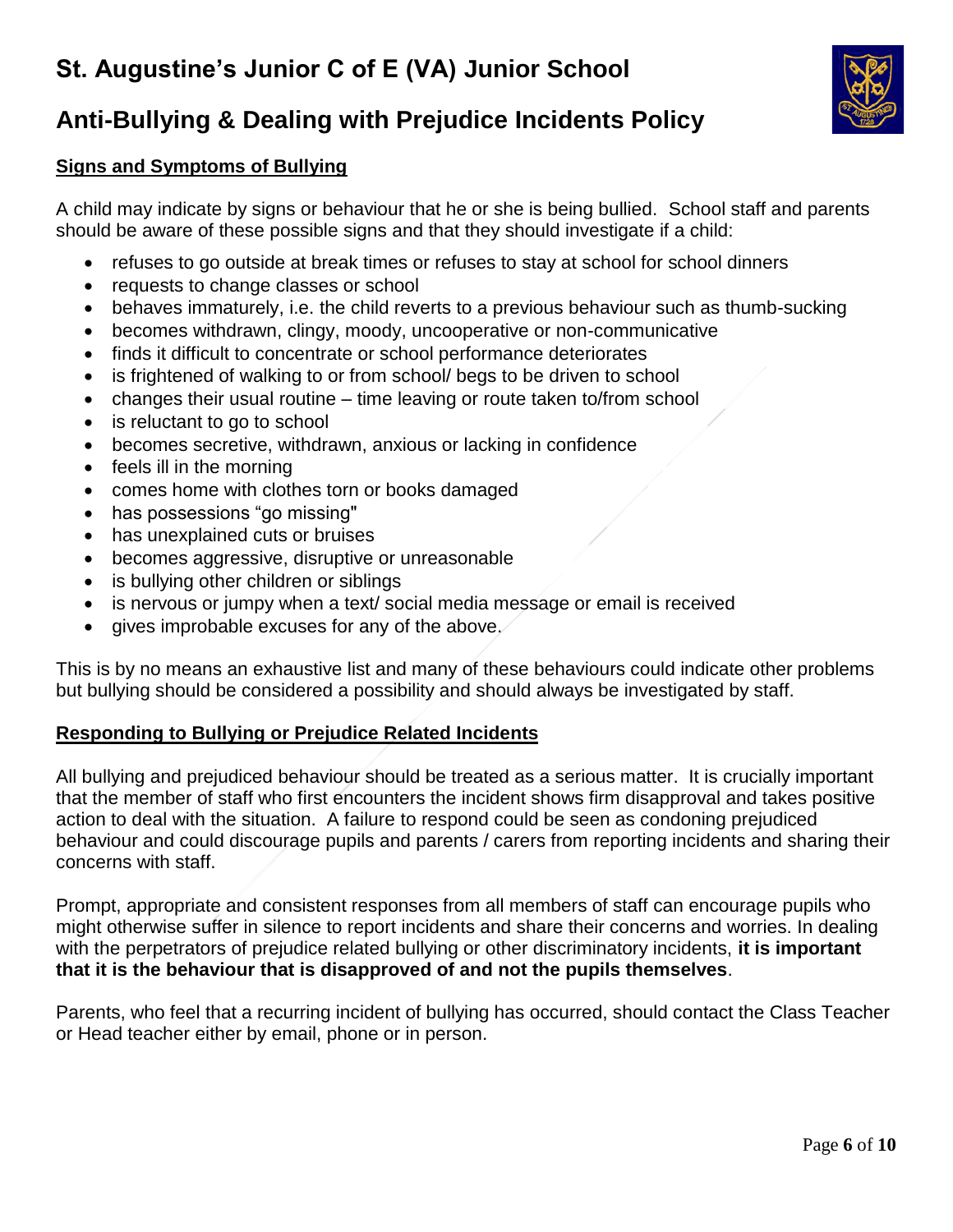

# **Anti-Bullying & Dealing with Prejudice Incidents Policy**

## **Signs and Symptoms of Bullying**

A child may indicate by signs or behaviour that he or she is being bullied. School staff and parents should be aware of these possible signs and that they should investigate if a child:

- refuses to go outside at break times or refuses to stay at school for school dinners
- requests to change classes or school
- behaves immaturely, i.e. the child reverts to a previous behaviour such as thumb-sucking
- becomes withdrawn, clingy, moody, uncooperative or non-communicative
- finds it difficult to concentrate or school performance deteriorates
- is frightened of walking to or from school/ begs to be driven to school
- changes their usual routine time leaving or route taken to/from school
- is reluctant to go to school
- becomes secretive, withdrawn, anxious or lacking in confidence
- feels ill in the morning
- comes home with clothes torn or books damaged
- has possessions "go missing"
- has unexplained cuts or bruises
- becomes aggressive, disruptive or unreasonable
- is bullying other children or siblings
- is nervous or jumpy when a text/ social media message or email is received
- gives improbable excuses for any of the above.

This is by no means an exhaustive list and many of these behaviours could indicate other problems but bullying should be considered a possibility and should always be investigated by staff.

### **Responding to Bullying or Prejudice Related Incidents**

All bullying and prejudiced behaviour should be treated as a serious matter. It is crucially important that the member of staff who first encounters the incident shows firm disapproval and takes positive action to deal with the situation. A failure to respond could be seen as condoning prejudiced behaviour and could discourage pupils and parents / carers from reporting incidents and sharing their concerns with staff.

Prompt, appropriate and consistent responses from all members of staff can encourage pupils who might otherwise suffer in silence to report incidents and share their concerns and worries. In dealing with the perpetrators of prejudice related bullying or other discriminatory incidents, **it is important that it is the behaviour that is disapproved of and not the pupils themselves**.

Parents, who feel that a recurring incident of bullying has occurred, should contact the Class Teacher or Head teacher either by email, phone or in person.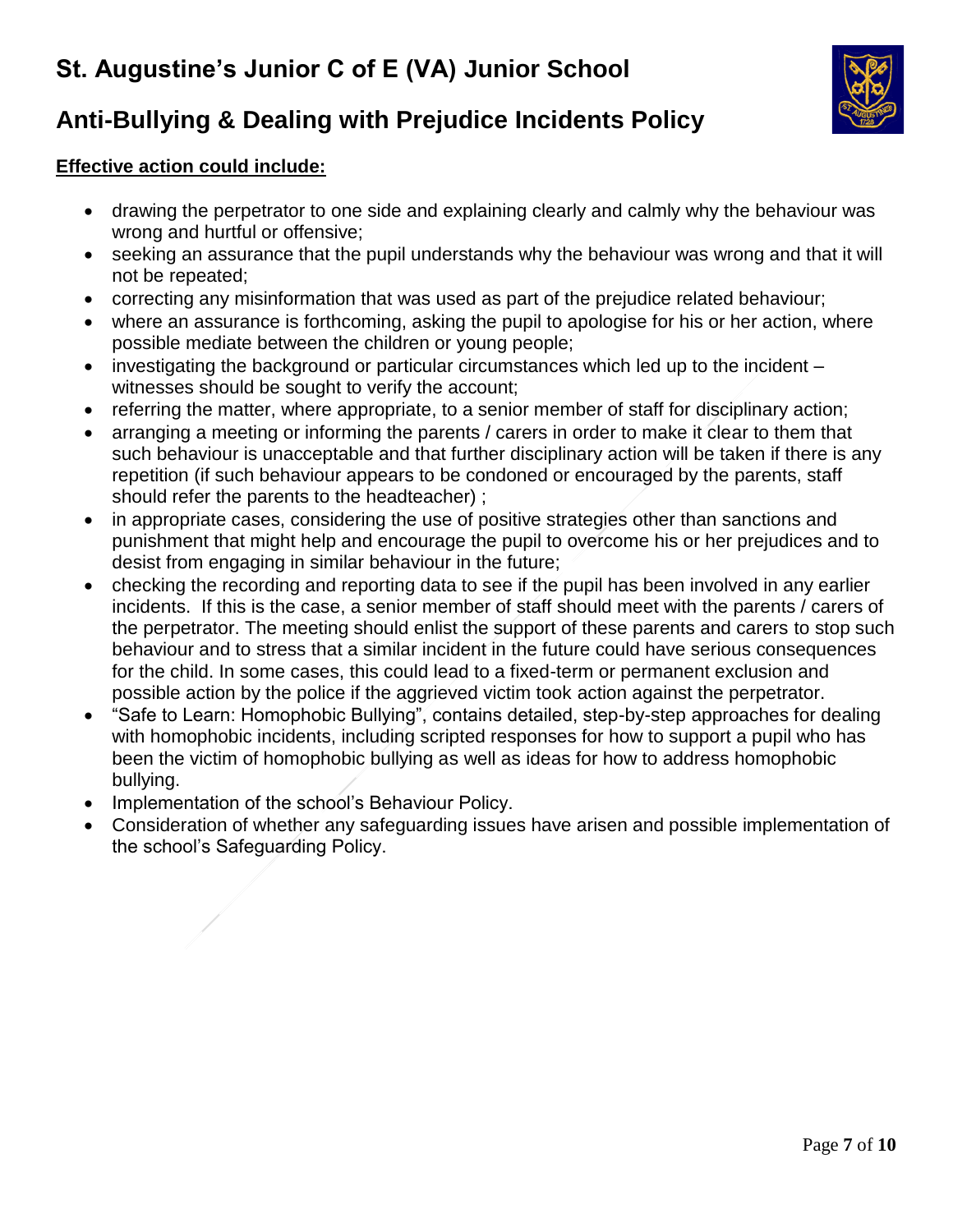

# **Anti-Bullying & Dealing with Prejudice Incidents Policy**

## **Effective action could include:**

- drawing the perpetrator to one side and explaining clearly and calmly why the behaviour was wrong and hurtful or offensive;
- seeking an assurance that the pupil understands why the behaviour was wrong and that it will not be repeated;
- correcting any misinformation that was used as part of the prejudice related behaviour;
- where an assurance is forthcoming, asking the pupil to apologise for his or her action, where possible mediate between the children or young people;
- investigating the background or particular circumstances which led up to the incident witnesses should be sought to verify the account;
- referring the matter, where appropriate, to a senior member of staff for disciplinary action;
- arranging a meeting or informing the parents / carers in order to make it clear to them that such behaviour is unacceptable and that further disciplinary action will be taken if there is any repetition (if such behaviour appears to be condoned or encouraged by the parents, staff should refer the parents to the headteacher) ;
- in appropriate cases, considering the use of positive strategies other than sanctions and punishment that might help and encourage the pupil to overcome his or her prejudices and to desist from engaging in similar behaviour in the future;
- checking the recording and reporting data to see if the pupil has been involved in any earlier incidents. If this is the case, a senior member of staff should meet with the parents / carers of the perpetrator. The meeting should enlist the support of these parents and carers to stop such behaviour and to stress that a similar incident in the future could have serious consequences for the child. In some cases, this could lead to a fixed-term or permanent exclusion and possible action by the police if the aggrieved victim took action against the perpetrator.
- "Safe to Learn: Homophobic Bullying", contains detailed, step-by-step approaches for dealing with homophobic incidents, including scripted responses for how to support a pupil who has been the victim of homophobic bullying as well as ideas for how to address homophobic bullying.
- Implementation of the school's Behaviour Policy.
- Consideration of whether any safeguarding issues have arisen and possible implementation of the school's Safeguarding Policy.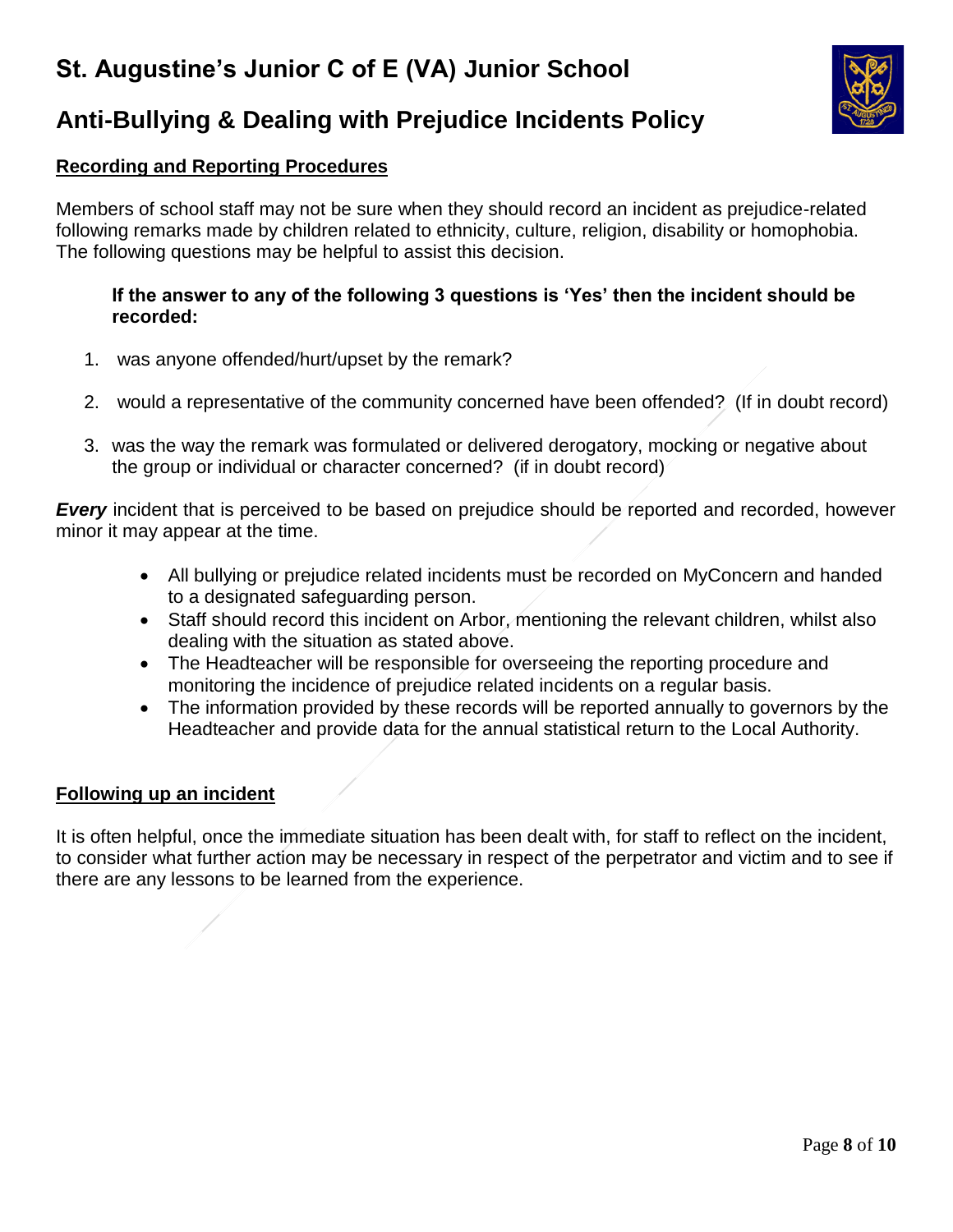

# **Anti-Bullying & Dealing with Prejudice Incidents Policy**

### **Recording and Reporting Procedures**

Members of school staff may not be sure when they should record an incident as prejudice-related following remarks made by children related to ethnicity, culture, religion, disability or homophobia. The following questions may be helpful to assist this decision.

#### **If the answer to any of the following 3 questions is 'Yes' then the incident should be recorded:**

- 1. was anyone offended/hurt/upset by the remark?
- 2. would a representative of the community concerned have been offended? (If in doubt record)
- 3. was the way the remark was formulated or delivered derogatory, mocking or negative about the group or individual or character concerned? (if in doubt record)

*Every* incident that is perceived to be based on prejudice should be reported and recorded, however minor it may appear at the time.

- All bullying or prejudice related incidents must be recorded on MyConcern and handed to a designated safeguarding person.
- Staff should record this incident on Arbor, mentioning the relevant children, whilst also dealing with the situation as stated above.
- The Headteacher will be responsible for overseeing the reporting procedure and monitoring the incidence of prejudice related incidents on a regular basis.
- The information provided by these records will be reported annually to governors by the Headteacher and provide data for the annual statistical return to the Local Authority.

### **Following up an incident**

It is often helpful, once the immediate situation has been dealt with, for staff to reflect on the incident, to consider what further action may be necessary in respect of the perpetrator and victim and to see if there are any lessons to be learned from the experience.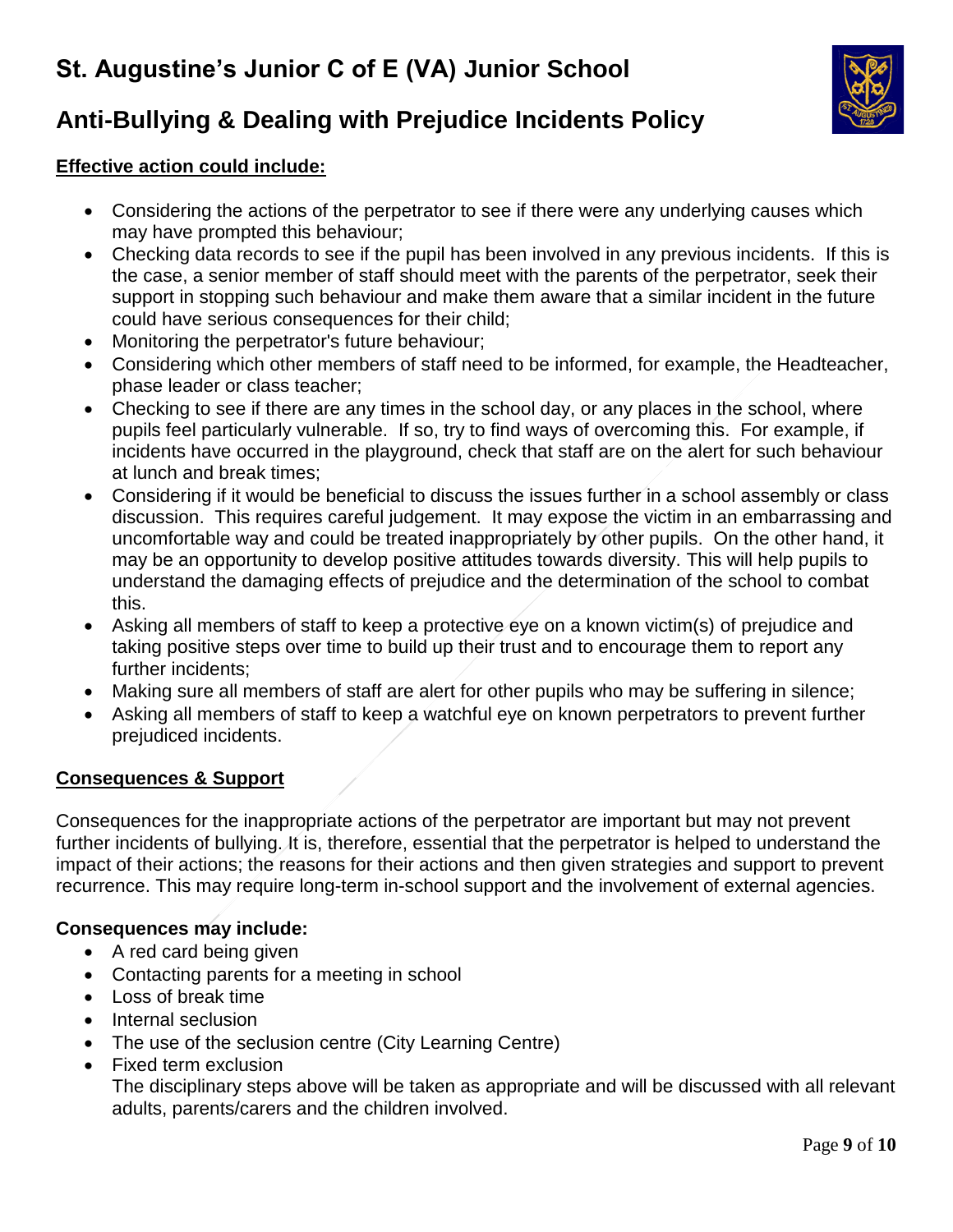

# **Anti-Bullying & Dealing with Prejudice Incidents Policy**

## **Effective action could include:**

- Considering the actions of the perpetrator to see if there were any underlying causes which may have prompted this behaviour;
- Checking data records to see if the pupil has been involved in any previous incidents. If this is the case, a senior member of staff should meet with the parents of the perpetrator, seek their support in stopping such behaviour and make them aware that a similar incident in the future could have serious consequences for their child;
- Monitoring the perpetrator's future behaviour;
- Considering which other members of staff need to be informed, for example, the Headteacher, phase leader or class teacher;
- Checking to see if there are any times in the school day, or any places in the school, where pupils feel particularly vulnerable. If so, try to find ways of overcoming this. For example, if incidents have occurred in the playground, check that staff are on the alert for such behaviour at lunch and break times;
- Considering if it would be beneficial to discuss the issues further in a school assembly or class discussion. This requires careful judgement. It may expose the victim in an embarrassing and uncomfortable way and could be treated inappropriately by other pupils. On the other hand, it may be an opportunity to develop positive attitudes towards diversity. This will help pupils to understand the damaging effects of prejudice and the determination of the school to combat this.
- Asking all members of staff to keep a protective eye on a known victim(s) of prejudice and taking positive steps over time to build up their trust and to encourage them to report any further incidents;
- Making sure all members of staff are alert for other pupils who may be suffering in silence;
- Asking all members of staff to keep a watchful eye on known perpetrators to prevent further prejudiced incidents.

## **Consequences & Support**

Consequences for the inappropriate actions of the perpetrator are important but may not prevent further incidents of bullying. It is, therefore, essential that the perpetrator is helped to understand the impact of their actions; the reasons for their actions and then given strategies and support to prevent recurrence. This may require long-term in-school support and the involvement of external agencies.

# **Consequences may include:**

- A red card being given
- Contacting parents for a meeting in school
- Loss of break time
- Internal seclusion
- The use of the seclusion centre (City Learning Centre)
- Fixed term exclusion

The disciplinary steps above will be taken as appropriate and will be discussed with all relevant adults, parents/carers and the children involved.